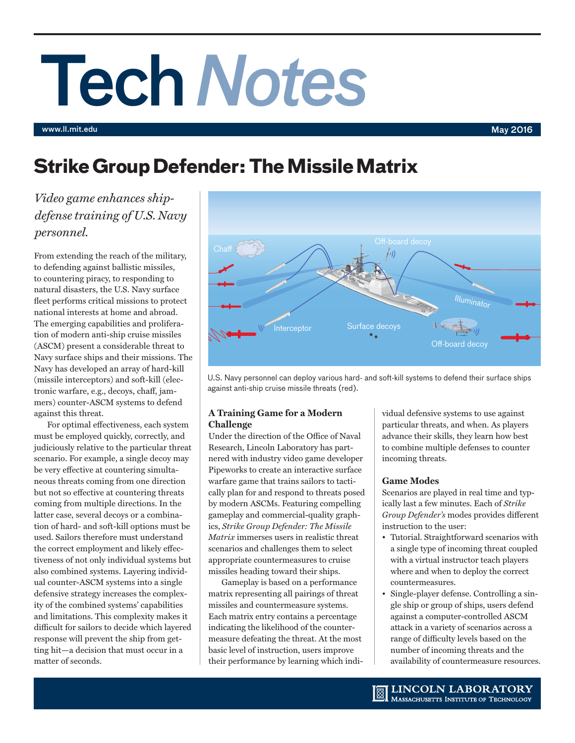# Tech*Notes*

www.ll.mit.edu May 2016

# **Strike Group Defender: The Missile Matrix**

*Video game enhances shipdefense training of U.S. Navy personnel.* 

From extending the reach of the military, to defending against ballistic missiles, to countering piracy, to responding to natural disasters, the U.S. Navy surface fleet performs critical missions to protect national interests at home and abroad. The emerging capabilities and proliferation of modern anti-ship cruise missiles (ASCM) present a considerable threat to Navy surface ships and their missions. The Navy has developed an array of hard-kill (missile interceptors) and soft-kill (electronic warfare, e.g., decoys, chaff, jammers) counter-ASCM systems to defend against this threat.

For optimal effectiveness, each system must be employed quickly, correctly, and judiciously relative to the particular threat scenario. For example, a single decoy may be very effective at countering simultaneous threats coming from one direction but not so effective at countering threats coming from multiple directions. In the latter case, several decoys or a combination of hard- and soft-kill options must be used. Sailors therefore must understand the correct employment and likely effectiveness of not only individual systems but also combined systems. Layering individual counter-ASCM systems into a single defensive strategy increases the complexity of the combined systems' capabilities and limitations. This complexity makes it difficult for sailors to decide which layered response will prevent the ship from getting hit—a decision that must occur in a matter of seconds.



U.S. Navy personnel can deploy various hard- and soft-kill systems to defend their surface ships against anti-ship cruise missile threats (red).

# **A Training Game for a Modern Challenge**

Under the direction of the Office of Naval Research, Lincoln Laboratory has partnered with industry video game developer Pipeworks to create an interactive surface warfare game that trains sailors to tactically plan for and respond to threats posed by modern ASCMs. Featuring compelling gameplay and commercial-quality graphics, *Strike Group Defender: The Missile Matrix* immerses users in realistic threat scenarios and challenges them to select appropriate countermeasures to cruise missiles heading toward their ships.

Gameplay is based on a performance matrix representing all pairings of threat missiles and countermeasure systems. Each matrix entry contains a percentage indicating the likelihood of the countermeasure defeating the threat. At the most basic level of instruction, users improve their performance by learning which individual defensive systems to use against particular threats, and when. As players advance their skills, they learn how best to combine multiple defenses to counter incoming threats.

# **Game Modes**

Scenarios are played in real time and typically last a few minutes. Each of *Strike Group Defender's* modes provides different instruction to the user:

- Tutorial. Straightforward scenarios with a single type of incoming threat coupled with a virtual instructor teach players where and when to deploy the correct countermeasures.
- Single-player defense. Controlling a single ship or group of ships, users defend against a computer-controlled ASCM attack in a variety of scenarios across a range of difficulty levels based on the number of incoming threats and the availability of countermeasure resources.